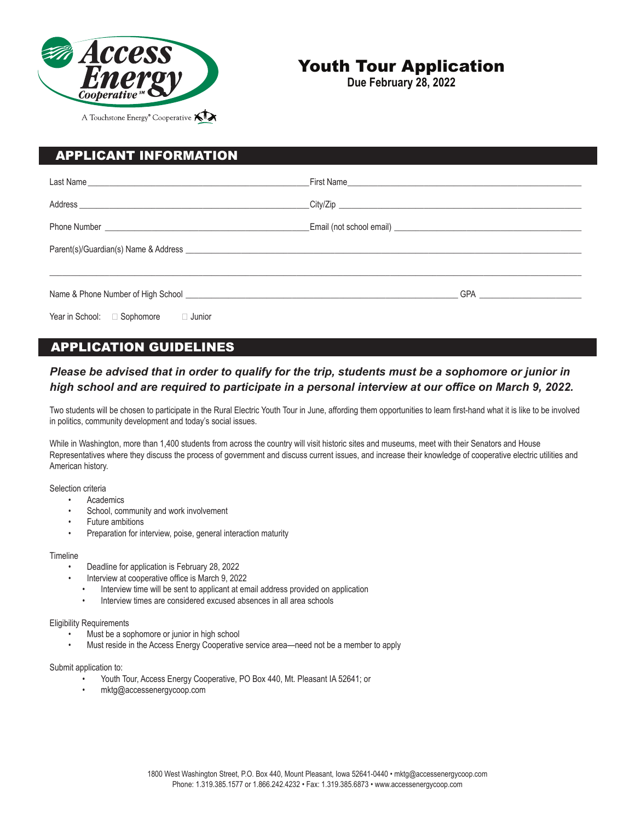

## Youth Tour Application

**Due February 28, 2022**

| <b>APPLICANT INFORMATION</b>                                                                                           |  |
|------------------------------------------------------------------------------------------------------------------------|--|
|                                                                                                                        |  |
|                                                                                                                        |  |
|                                                                                                                        |  |
|                                                                                                                        |  |
|                                                                                                                        |  |
| Name & Phone Number of High School <b>Example 20</b> Name 20 Name 20 Name 20 Name 20 Name 20 Name 20 Name 20 Name 20 N |  |
| Year in School: □ Sophomore<br>□ Junior                                                                                |  |

## APPLICATION GUIDELINES

### *Please be advised that in order to qualify for the trip, students must be a sophomore or junior in high school and are required to participate in a personal interview at our office on March 9, 2022.*

Two students will be chosen to participate in the Rural Electric Youth Tour in June, affording them opportunities to learn first-hand what it is like to be involved in politics, community development and today's social issues.

While in Washington, more than 1,400 students from across the country will visit historic sites and museums, meet with their Senators and House Representatives where they discuss the process of government and discuss current issues, and increase their knowledge of cooperative electric utilities and American history.

Selection criteria

- **Academics**
- School, community and work involvement
- Future ambitions
- Preparation for interview, poise, general interaction maturity

#### **Timeline**

- Deadline for application is February 28, 2022
- Interview at cooperative office is March 9, 2022
	- Interview time will be sent to applicant at email address provided on application
	- Interview times are considered excused absences in all area schools

#### Eligibility Requirements

- Must be a sophomore or junior in high school
- Must reside in the Access Energy Cooperative service area—need not be a member to apply

#### Submit application to:

- Youth Tour, Access Energy Cooperative, PO Box 440, Mt. Pleasant IA 52641; or
- mktg@accessenergycoop.com